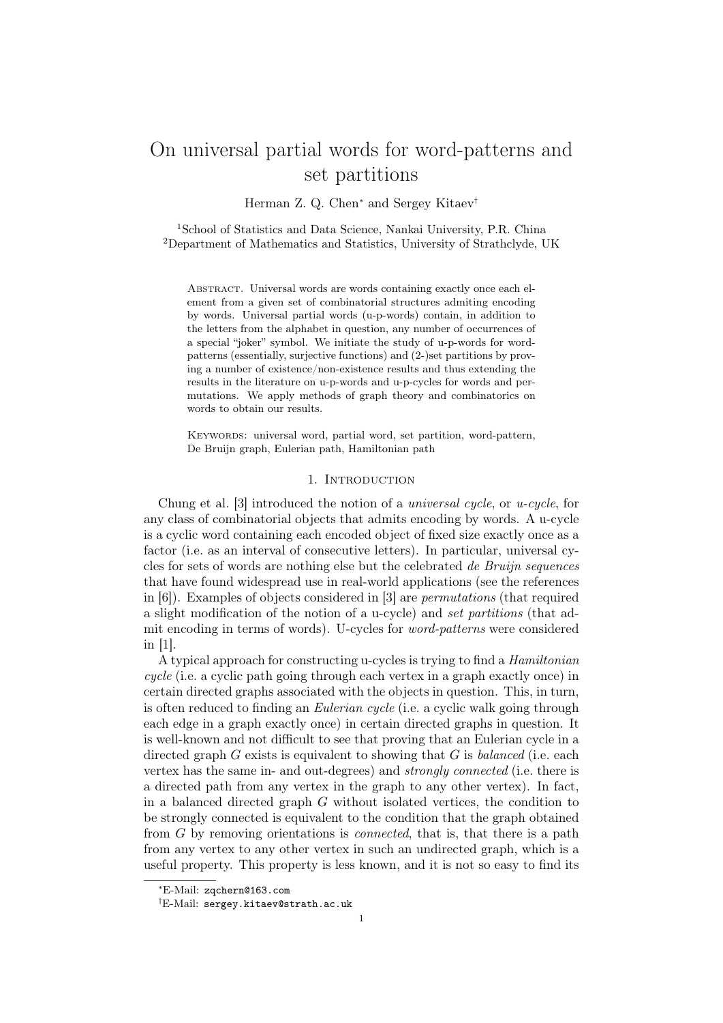# On universal partial words for word-patterns and set partitions

Herman Z. Q. Chen<sup>∗</sup> and Sergey Kitaev†

<sup>1</sup>School of Statistics and Data Science, Nankai University, P.R. China <sup>2</sup>Department of Mathematics and Statistics, University of Strathclyde, UK

Abstract. Universal words are words containing exactly once each element from a given set of combinatorial structures admiting encoding by words. Universal partial words (u-p-words) contain, in addition to the letters from the alphabet in question, any number of occurrences of a special "joker" symbol. We initiate the study of u-p-words for wordpatterns (essentially, surjective functions) and (2-)set partitions by proving a number of existence/non-existence results and thus extending the results in the literature on u-p-words and u-p-cycles for words and permutations. We apply methods of graph theory and combinatorics on words to obtain our results.

Keywords: universal word, partial word, set partition, word-pattern, De Bruijn graph, Eulerian path, Hamiltonian path

## 1. INTRODUCTION

Chung et al. [3] introduced the notion of a universal cycle, or u-cycle, for any class of combinatorial objects that admits encoding by words. A u-cycle is a cyclic word containing each encoded object of fixed size exactly once as a factor (i.e. as an interval of consecutive letters). In particular, universal cycles for sets of words are nothing else but the celebrated de Bruijn sequences that have found widespread use in real-world applications (see the references in [6]). Examples of objects considered in [3] are permutations (that required a slight modification of the notion of a u-cycle) and set partitions (that admit encoding in terms of words). U-cycles for word-patterns were considered in [1].

A typical approach for constructing u-cycles is trying to find a Hamiltonian cycle (i.e. a cyclic path going through each vertex in a graph exactly once) in certain directed graphs associated with the objects in question. This, in turn, is often reduced to finding an Eulerian cycle (i.e. a cyclic walk going through each edge in a graph exactly once) in certain directed graphs in question. It is well-known and not difficult to see that proving that an Eulerian cycle in a directed graph  $G$  exists is equivalent to showing that  $G$  is balanced (i.e. each vertex has the same in- and out-degrees) and strongly connected (i.e. there is a directed path from any vertex in the graph to any other vertex). In fact, in a balanced directed graph G without isolated vertices, the condition to be strongly connected is equivalent to the condition that the graph obtained from G by removing orientations is connected, that is, that there is a path from any vertex to any other vertex in such an undirected graph, which is a useful property. This property is less known, and it is not so easy to find its

<sup>∗</sup>E-Mail: zqchern@163.com

<sup>†</sup>E-Mail: sergey.kitaev@strath.ac.uk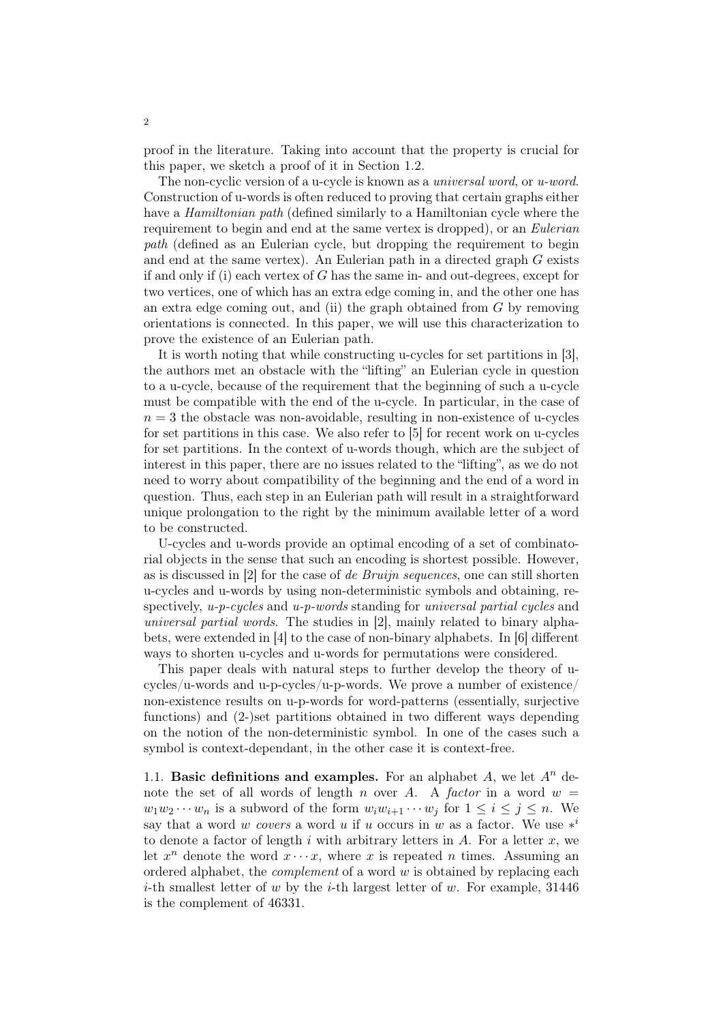proof in the literature. Taking into account that the property is crucial for this paper, we sketch a proof of it in Section 1.2.

The non-cyclic version of a u-cycle is known as a *universal word*, or *u-word*. Construction of u-words is often reduced to proving that certain graphs either have a *Hamiltonian path* (defined similarly to a Hamiltonian cycle where the requirement to begin and end at the same vertex is dropped), or an *Eulerian* path (defined as an Eulerian cycle, but dropping the requirement to begin and end at the same vertex). An Eulerian path in a directed graph G exists if and only if (i) each vertex of  $G$  has the same in- and out-degrees, except for two vertices, one of which has an extra edge coming in, and the other one has an extra edge coming out, and (ii) the graph obtained from  $G$  by removing orientations is connected. In this paper, we will use this characterization to prove the existence of an Eulerian path.

It is worth noting that while constructing u-cycles for set partitions in [3], the authors met an obstacle with the "lifting" an Eulerian cycle in question to a u-cycle, because of the requirement that the beginning of such a u-cycle must be compatible with the end of the u-cycle. In particular, in the case of  $n = 3$  the obstacle was non-avoidable, resulting in non-existence of u-cycles for set partitions in this case. We also refer to [5] for recent work on u-cycles for set partitions. In the context of u-words though, which are the subject of interest in this paper, there are no issues related to the "lifting", as we do not need to worry about compatibility of the beginning and the end of a word in question. Thus, each step in an Eulerian path will result in a straightforward unique prolongation to the right by the minimum available letter of a word to be constructed.

U-cycles and u-words provide an optimal encoding of a set of combinatorial objects in the sense that such an encoding is shortest possible. However, as is discussed in [2] for the case of de Bruijn sequences, one can still shorten u-cycles and u-words by using non-deterministic symbols and obtaining, respectively,  $u-p-cycles$  and  $u-p-words$  standing for universal partial cycles and universal partial words. The studies in [2], mainly related to binary alphabets, were extended in [4] to the case of non-binary alphabets. In [6] different ways to shorten u-cycles and u-words for permutations were considered.

This paper deals with natural steps to further develop the theory of ucycles/u-words and u-p-cycles/u-p-words. We prove a number of existence/ non-existence results on u-p-words for word-patterns (essentially, surjective functions) and (2-)set partitions obtained in two different ways depending on the notion of the non-deterministic symbol. In one of the cases such a symbol is context-dependant, in the other case it is context-free.

1.1. Basic definitions and examples. For an alphabet A, we let  $A^n$  denote the set of all words of length n over A. A factor in a word  $w =$  $w_1w_2\cdots w_n$  is a subword of the form  $w_iw_{i+1}\cdots w_j$  for  $1 \leq i \leq j \leq n$ . We say that a word w covers a word u if u occurs in w as a factor. We use  $*$ <sup>i</sup> to denote a factor of length i with arbitrary letters in A. For a letter  $x$ , we let  $x^n$  denote the word  $x \cdots x$ , where x is repeated n times. Assuming an ordered alphabet, the *complement* of a word  $w$  is obtained by replacing each *i*-th smallest letter of w by the *i*-th largest letter of w. For example,  $31446$ is the complement of 46331.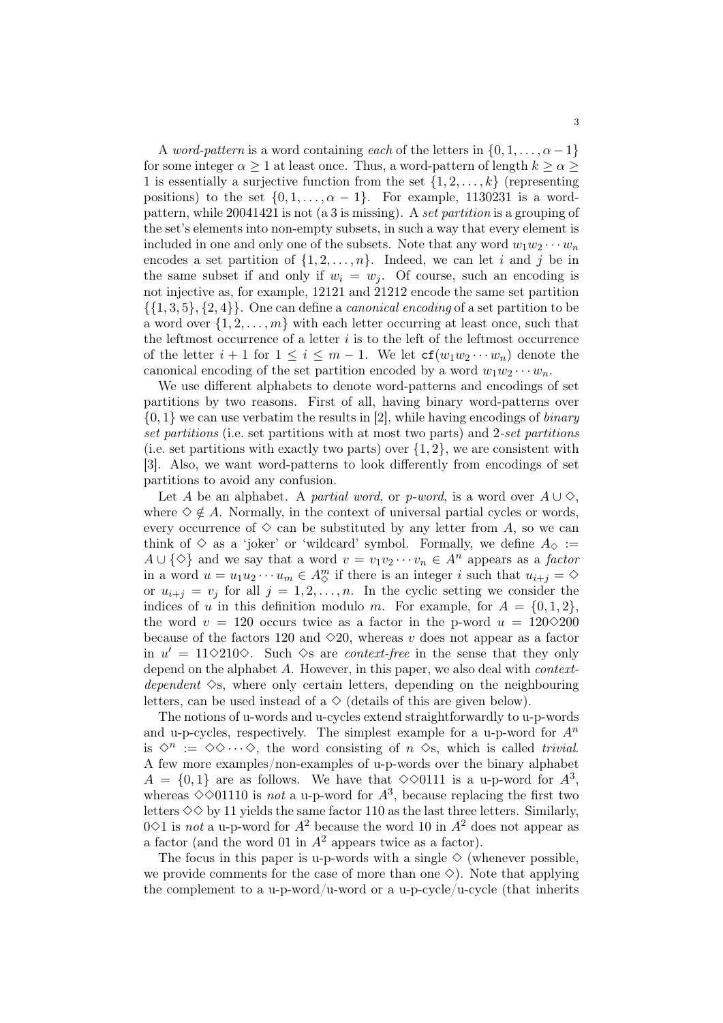A word-pattern is a word containing each of the letters in  $\{0, 1, \ldots, \alpha - 1\}$ for some integer  $\alpha \geq 1$  at least once. Thus, a word-pattern of length  $k \geq \alpha \geq 1$ 1 is essentially a surjective function from the set  $\{1, 2, \ldots, k\}$  (representing positions) to the set  $\{0, 1, \ldots, \alpha - 1\}$ . For example, 1130231 is a wordpattern, while 20041421 is not (a 3 is missing). A set partition is a grouping of the set's elements into non-empty subsets, in such a way that every element is included in one and only one of the subsets. Note that any word  $w_1w_2\cdots w_n$ encodes a set partition of  $\{1, 2, \ldots, n\}$ . Indeed, we can let i and j be in the same subset if and only if  $w_i = w_j$ . Of course, such an encoding is not injective as, for example, 12121 and 21212 encode the same set partition  $\{\{1,3,5\},\{2,4\}\}\$ . One can define a *canonical encoding* of a set partition to be a word over  $\{1, 2, \ldots, m\}$  with each letter occurring at least once, such that the leftmost occurrence of a letter  $i$  is to the left of the leftmost occurrence of the letter  $i + 1$  for  $1 \leq i \leq m - 1$ . We let  $cf(w_1w_2 \cdots w_n)$  denote the canonical encoding of the set partition encoded by a word  $w_1w_2\cdots w_n$ .

We use different alphabets to denote word-patterns and encodings of set partitions by two reasons. First of all, having binary word-patterns over  $\{0, 1\}$  we can use verbatim the results in [2], while having encodings of *binary* set partitions (i.e. set partitions with at most two parts) and 2-set partitions (i.e. set partitions with exactly two parts) over  $\{1, 2\}$ , we are consistent with [3]. Also, we want word-patterns to look differently from encodings of set partitions to avoid any confusion.

Let A be an alphabet. A partial word, or p-word, is a word over  $A \cup \Diamond$ , where  $\diamond \notin A$ . Normally, in the context of universal partial cycles or words, every occurrence of  $\diamondsuit$  can be substituted by any letter from A, so we can think of  $\diamond$  as a 'joker' or 'wildcard' symbol. Formally, we define  $A_{\diamondsuit}$  :=  $A \cup {\Diamond}$  and we say that a word  $v = v_1v_2 \cdots v_n \in A^n$  appears as a factor in a word  $u = u_1 u_2 \cdots u_m \in A_{\diamond}^m$  if there is an integer i such that  $u_{i+j} = \diamond$ or  $u_{i+j} = v_j$  for all  $j = 1, 2, ..., n$ . In the cyclic setting we consider the indices of u in this definition modulo m. For example, for  $A = \{0, 1, 2\}$ . the word  $v = 120$  occurs twice as a factor in the p-word  $u = 120 \diamond 200$ because of the factors 120 and  $\Diamond$ 20, whereas v does not appear as a factor in  $u' = 11 \diamond 210 \diamond$ . Such  $\diamond$ s are *context-free* in the sense that they only depend on the alphabet A. However, in this paper, we also deal with *context*dependent  $\Diamond$ s, where only certain letters, depending on the neighbouring letters, can be used instead of a  $\Diamond$  (details of this are given below).

The notions of u-words and u-cycles extend straightforwardly to u-p-words and u-p-cycles, respectively. The simplest example for a u-p-word for  $A^n$ is  $\Diamond^n := \Diamond \Diamond \cdots \Diamond$ , the word consisting of  $n \Diamond s$ , which is called trivial. A few more examples/non-examples of u-p-words over the binary alphabet  $A = \{0,1\}$  are as follows. We have that  $\diamond \diamond 0111$  is a u-p-word for  $A^3$ , whereas  $\Diamond \Diamond$ 01110 is not a u-p-word for  $A^3$ , because replacing the first two letters  $\diamondsuit$  by 11 yields the same factor 110 as the last three letters. Similarly, 0 $\Diamond$ 1 is not a u-p-word for  $A^2$  because the word 10 in  $A^2$  does not appear as a factor (and the word 01 in  $A^2$  appears twice as a factor).

The focus in this paper is u-p-words with a single  $\Diamond$  (whenever possible, we provide comments for the case of more than one  $\diamond$ ). Note that applying the complement to a u-p-word/u-word or a u-p-cycle/u-cycle (that inherits

3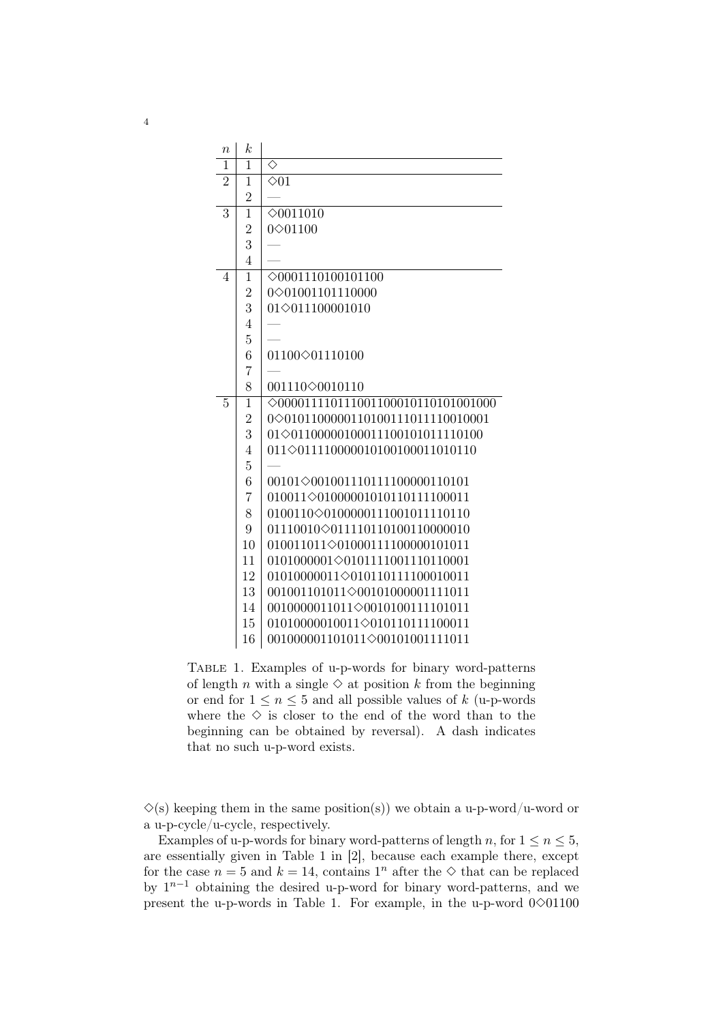| $\boldsymbol{n}$ | $\boldsymbol{k}$ |                                              |
|------------------|------------------|----------------------------------------------|
| 1                | 1                | ♦                                            |
| $\overline{2}$   | $\mathbf{1}$     | $\diamond$ 01                                |
|                  | $\overline{2}$   |                                              |
| $\overline{3}$   | $\overline{1}$   | $\diamond$ 0011010                           |
|                  | $\overline{2}$   | 0 $\diamond$ 01100                           |
|                  | 3                |                                              |
|                  | $\overline{4}$   |                                              |
| 4                | $\mathbf{1}$     | $\diamond$ 0001110100101100                  |
|                  | $\overline{2}$   | 0 $\diamond$ 01001101110000                  |
|                  | 3                | 01 $\diamond$ 011100001010                   |
|                  | $\overline{4}$   |                                              |
|                  | $\overline{5}$   |                                              |
|                  | 6                | 01100 $\diamond$ 01110100                    |
|                  | $\overline{7}$   |                                              |
|                  | 8                | 001110 $\diamond$ 0010110                    |
| 5                | $\overline{1}$   | $\diamond$ 000011110111001100010110101001000 |
|                  | $\overline{2}$   | 0 $\diamond$ 0101100000110100111011110010001 |
|                  | 3                | 01 $\diamond$ 01100000100011100101011110100  |
|                  | $\overline{4}$   | 011<011110000010100100011010110              |
|                  | $\overline{5}$   |                                              |
|                  | 6                | 00101 $\Diamond$ 001001110111100000110101    |
|                  | 7                | 010011 $\diamond$ 01000001010110111100011    |
|                  | 8                | 0100110 $\Diamond$ 0100000111001011110110    |
|                  | 9                | 01110010 $\diamond$ 011110110100110000010    |
|                  | 10               | 010011011 $\diamond$ 01000111100000101011    |
|                  | 11               | 0101000001 $\diamond$ 0101111001110110001    |
|                  | 12               | 01010000011 $\diamond$ 010110111100010011    |
|                  | 13               | 001001101011 $\Diamond$ 00101000001111011    |
|                  | 14               | 0010000011011 $\Diamond$ 0010100111101011    |
|                  | 15               | 01010000010011<010110111100011               |
|                  | 16               | 001000001101011 $\diamond$ 00101001111011    |

Table 1. Examples of u-p-words for binary word-patterns of length *n* with a single  $\Diamond$  at position *k* from the beginning or end for  $1 \leq n \leq 5$  and all possible values of k (u-p-words where the  $\diamond$  is closer to the end of the word than to the beginning can be obtained by reversal). A dash indicates that no such u-p-word exists.

 $\Diamond$ (s) keeping them in the same position(s)) we obtain a u-p-word/u-word or a u-p-cycle/u-cycle, respectively.

Examples of u-p-words for binary word-patterns of length n, for  $1 \le n \le 5$ , are essentially given in Table 1 in [2], because each example there, except for the case  $n = 5$  and  $k = 14$ , contains  $1^n$  after the  $\diamond$  that can be replaced by  $1^{n-1}$  obtaining the desired u-p-word for binary word-patterns, and we present the u-p-words in Table 1. For example, in the u-p-word  $0\diamond 01100$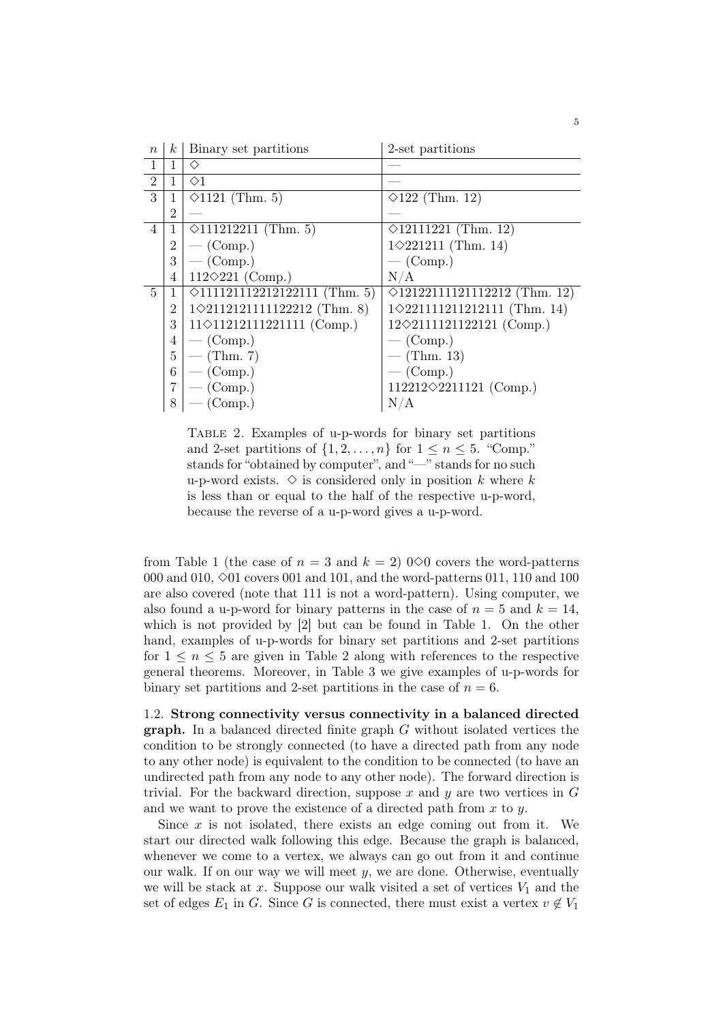| $\boldsymbol{n}$ | $k_{\parallel}$ | Binary set partitions                  | 2-set partitions                       |
|------------------|-----------------|----------------------------------------|----------------------------------------|
| $\mathbf{1}$     | 1               | ◇                                      |                                        |
| $\overline{2}$   | 1               | $\Diamond$ 1                           |                                        |
| 3                | 1               | $\Diamond 1121$ (Thm. 5)               | $\Diamond$ 122 (Thm. 12)               |
|                  | $\overline{2}$  |                                        |                                        |
| 4                | 1               | $\Diamond 111212211$ (Thm. 5)          | $\Diamond$ 12111221 (Thm. 12)          |
|                  | 2               | $-$ (Comp.)                            | $1 \diamond 221211$ (Thm. 14)          |
|                  | 3               | $-$ (Comp.)                            | $-$ (Comp.)                            |
|                  | 4               | 112 $\Diamond$ 221 (Comp.)             | N/A                                    |
| 5                |                 | $\Diamond$ 111121112212122111 (Thm. 5) | $\Diamond$ 12122111121112212 (Thm. 12) |
|                  | 2               | $1 \diamond 2112121111122212$ (Thm. 8) | $1 \diamond 221111211212111$ (Thm. 14) |
|                  | 3               | $11 \diamond 11212111221111$ (Comp.)   | $12 \diamond 2111121122121$ (Comp.)    |
|                  | 4               | $-$ (Comp.)                            | $-$ (Comp.)                            |
|                  | 5               | — $(Thm. 7)$                           | — (Thm. 13)                            |
|                  | 6               | $-$ (Comp.)                            | $-$ (Comp.)                            |
|                  |                 | $-$ (Comp.)                            | 112212 $\diamond$ 2211121 (Comp.)      |
|                  | 8               | $-$ (Comp.)                            | N/A                                    |

Table 2. Examples of u-p-words for binary set partitions and 2-set partitions of  $\{1, 2, \ldots, n\}$  for  $1 \leq n \leq 5$ . "Comp." stands for "obtained by computer", and "—" stands for no such u-p-word exists.  $\diamond$  is considered only in position k where k is less than or equal to the half of the respective u-p-word, because the reverse of a u-p-word gives a u-p-word.

from Table 1 (the case of  $n = 3$  and  $k = 2$ ) 0 $\Diamond$ 0 covers the word-patterns 000 and 010,  $\diamond$ 01 covers 001 and 101, and the word-patterns 011, 110 and 100 are also covered (note that 111 is not a word-pattern). Using computer, we also found a u-p-word for binary patterns in the case of  $n = 5$  and  $k = 14$ . which is not provided by [2] but can be found in Table 1. On the other hand, examples of u-p-words for binary set partitions and 2-set partitions for  $1 \leq n \leq 5$  are given in Table 2 along with references to the respective general theorems. Moreover, in Table 3 we give examples of u-p-words for binary set partitions and 2-set partitions in the case of  $n = 6$ .

1.2. Strong connectivity versus connectivity in a balanced directed graph. In a balanced directed finite graph G without isolated vertices the condition to be strongly connected (to have a directed path from any node to any other node) is equivalent to the condition to be connected (to have an undirected path from any node to any other node). The forward direction is trivial. For the backward direction, suppose x and y are two vertices in  $G$ and we want to prove the existence of a directed path from  $x$  to  $y$ .

Since  $x$  is not isolated, there exists an edge coming out from it. We start our directed walk following this edge. Because the graph is balanced, whenever we come to a vertex, we always can go out from it and continue our walk. If on our way we will meet  $y$ , we are done. Otherwise, eventually we will be stack at x. Suppose our walk visited a set of vertices  $V_1$  and the set of edges  $E_1$  in G. Since G is connected, there must exist a vertex  $v \notin V_1$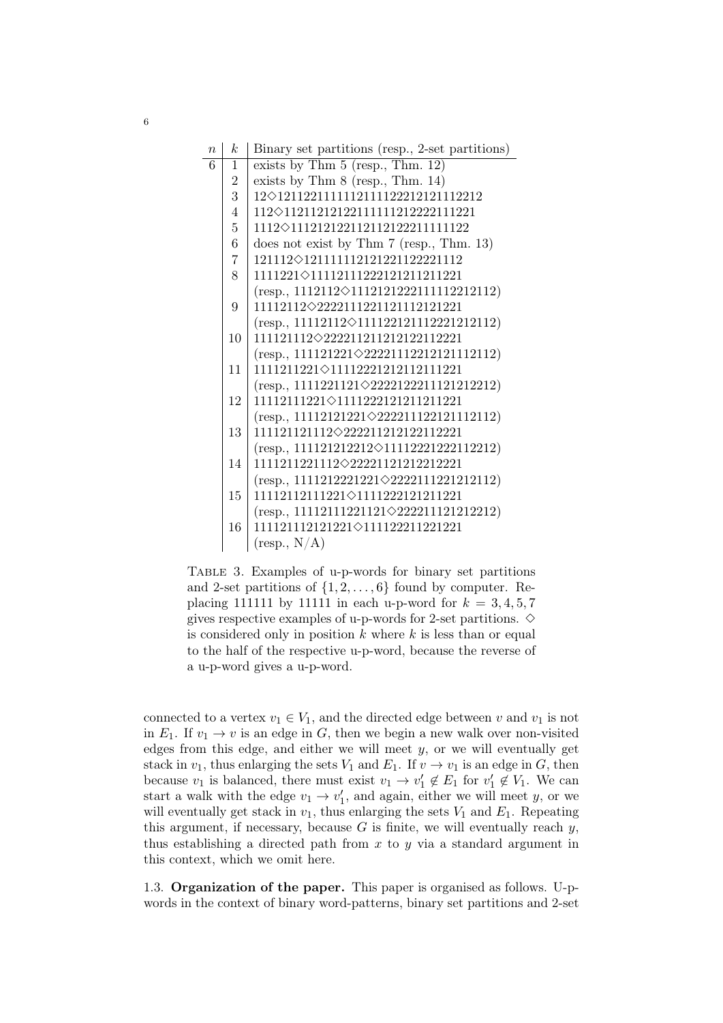| $\overline{n}$ | k                | Binary set partitions (resp., 2-set partitions)    |
|----------------|------------------|----------------------------------------------------|
| 6              | 1                | exists by Thm $5$ (resp., Thm. 12)                 |
|                | $\boldsymbol{2}$ | exists by Thm $8$ (resp., Thm. 14)                 |
|                | $\overline{3}$   | $12 \diamond 1211221111112111122212121112212$      |
|                | 4                | 112<br><br>012112121221111111212222111221          |
|                | $\overline{5}$   | 1112<br>>111212122112112122211111122               |
|                | 6                | does not exist by Thm $7$ (resp., Thm. 13)         |
|                | $\overline{7}$   | 121112 $\diamond$ 1211111112121221122221112        |
|                | 8                | 1111221◇11112111222121211211221                    |
|                |                  | $(resp., 1112112\diamond 1112121222111112212112)$  |
|                | 9                | 11112112<2222111221121112121221                    |
|                |                  | $(resp., 11112112\diamond 111122121112221212112)$  |
|                | 10               | $111121112\diamond 222211211212122112221$          |
|                |                  | $(resp., 111121221 \diamond 22221112212121112112)$ |
|                | 11               | 1111211221◇11112221212112111221                    |
|                |                  | $(resp., 1111221121\diamond 2222122211121212212)$  |
|                | 12               | 11112111221◇1111222121211211221                    |
|                |                  | $(resp., 11112121221\diamond 222211122121112112)$  |
|                | 13               | $111121121112\diamond 222211212122112221$          |
|                |                  | $(resp., 111121212212\diamond 11112221222112212)$  |
|                | 14               | $1111211221112\diamond 222211212122212221$         |
|                |                  | $(resp., 1111212221221\diamond 2222111221212112)$  |
|                | 15               | 11112112111221◇1111222121211221                    |
|                |                  | $(resp., 11112111221121\diamond 222211121212212)$  |
|                | 16               | $111121112121221 \diamond 111122211221221$         |
|                |                  | $(\text{resp.}, \text{N/A})$                       |

Table 3. Examples of u-p-words for binary set partitions and 2-set partitions of  $\{1, 2, \ldots, 6\}$  found by computer. Replacing 111111 by 11111 in each u-p-word for  $k = 3, 4, 5, 7$ gives respective examples of u-p-words for 2-set partitions.  $\diamond$ is considered only in position  $k$  where  $k$  is less than or equal to the half of the respective u-p-word, because the reverse of a u-p-word gives a u-p-word.

connected to a vertex  $v_1 \in V_1$ , and the directed edge between v and  $v_1$  is not in  $E_1$ . If  $v_1 \to v$  is an edge in G, then we begin a new walk over non-visited edges from this edge, and either we will meet  $y$ , or we will eventually get stack in  $v_1$ , thus enlarging the sets  $V_1$  and  $E_1$ . If  $v \to v_1$  is an edge in G, then because  $v_1$  is balanced, there must exist  $v_1 \to v'_1 \notin E_1$  for  $v'_1 \notin V_1$ . We can start a walk with the edge  $v_1 \rightarrow v'_1$ , and again, either we will meet y, or we will eventually get stack in  $v_1$ , thus enlarging the sets  $V_1$  and  $E_1$ . Repeating this argument, if necessary, because  $G$  is finite, we will eventually reach  $y$ , thus establishing a directed path from  $x$  to  $y$  via a standard argument in this context, which we omit here.

1.3. Organization of the paper. This paper is organised as follows. U-pwords in the context of binary word-patterns, binary set partitions and 2-set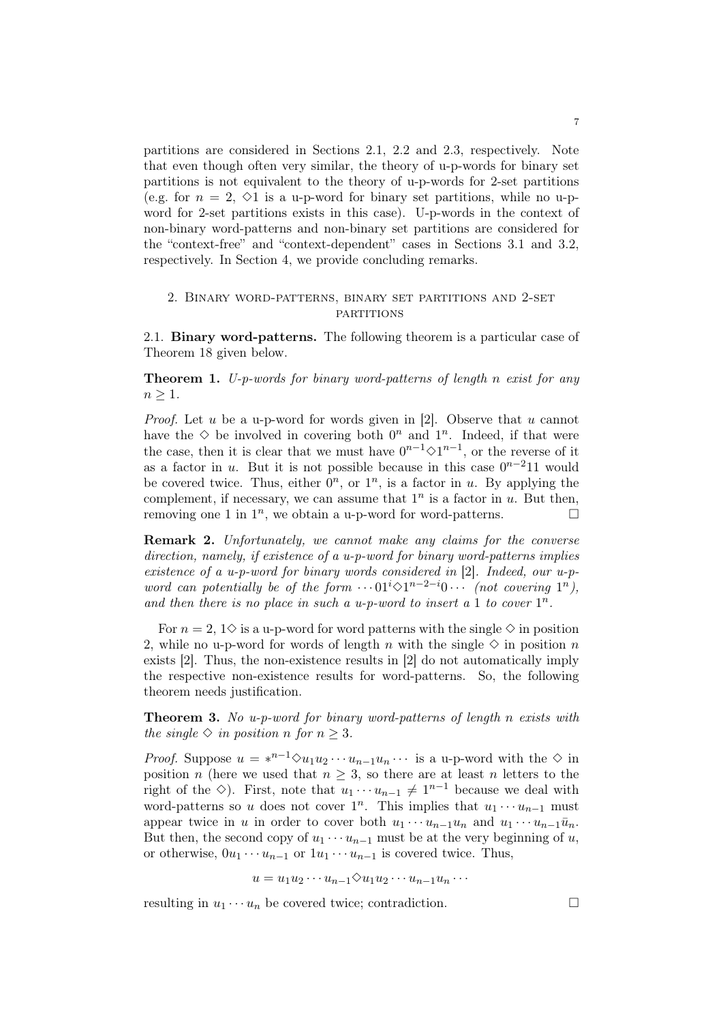partitions are considered in Sections 2.1, 2.2 and 2.3, respectively. Note that even though often very similar, the theory of u-p-words for binary set partitions is not equivalent to the theory of u-p-words for 2-set partitions (e.g. for  $n = 2$ ,  $\Diamond$ 1 is a u-p-word for binary set partitions, while no u-pword for 2-set partitions exists in this case). U-p-words in the context of non-binary word-patterns and non-binary set partitions are considered for the "context-free" and "context-dependent" cases in Sections 3.1 and 3.2, respectively. In Section 4, we provide concluding remarks.

# 2. Binary word-patterns, binary set partitions and 2-set **PARTITIONS**

2.1. Binary word-patterns. The following theorem is a particular case of Theorem 18 given below.

Theorem 1. U-p-words for binary word-patterns of length n exist for any  $n > 1$ .

*Proof.* Let u be a u-p-word for words given in [2]. Observe that u cannot have the  $\diamond$  be involved in covering both  $0^n$  and  $1^n$ . Indeed, if that were the case, then it is clear that we must have  $0^{n-1} \diamond 1^{n-1}$ , or the reverse of it as a factor in u. But it is not possible because in this case  $0^{n-2}11$  would be covered twice. Thus, either  $0^n$ , or  $1^n$ , is a factor in u. By applying the complement, if necessary, we can assume that  $1^n$  is a factor in u. But then, removing one 1 in  $1^n$ , we obtain a u-p-word for word-patterns.

Remark 2. Unfortunately, we cannot make any claims for the converse direction, namely, if existence of a u-p-word for binary word-patterns implies existence of a u-p-word for binary words considered in [2]. Indeed, our u-pword can potentially be of the form  $\cdots 01^{i} \otimes 1^{n-2-i}0 \cdots$  (not covering  $1^{n}$ ), and then there is no place in such a u-p-word to insert a 1 to cover  $1^n$ .

For  $n = 2, 1$  is a u-p-word for word patterns with the single  $\diamond$  in position 2, while no u-p-word for words of length n with the single  $\diamond$  in position n exists [2]. Thus, the non-existence results in [2] do not automatically imply the respective non-existence results for word-patterns. So, the following theorem needs justification.

Theorem 3. No u-p-word for binary word-patterns of length n exists with the single  $\Diamond$  in position n for  $n \geq 3$ .

*Proof.* Suppose  $u = *^{n-1} \Diamond u_1 u_2 \cdots u_{n-1} u_n \cdots$  is a u-p-word with the  $\Diamond$  in position n (here we used that  $n \geq 3$ , so there are at least n letters to the right of the  $\diamond$ ). First, note that  $u_1 \cdots u_{n-1} \neq 1^{n-1}$  because we deal with word-patterns so u does not cover  $1^n$ . This implies that  $u_1 \cdots u_{n-1}$  must appear twice in u in order to cover both  $u_1 \cdots u_{n-1}u_n$  and  $u_1 \cdots u_{n-1}u_n$ . But then, the second copy of  $u_1 \cdots u_{n-1}$  must be at the very beginning of u, or otherwise,  $0u_1 \cdots u_{n-1}$  or  $1u_1 \cdots u_{n-1}$  is covered twice. Thus,

$$
u = u_1 u_2 \cdots u_{n-1} \Diamond u_1 u_2 \cdots u_{n-1} u_n \cdots
$$

resulting in  $u_1 \cdots u_n$  be covered twice; contradiction.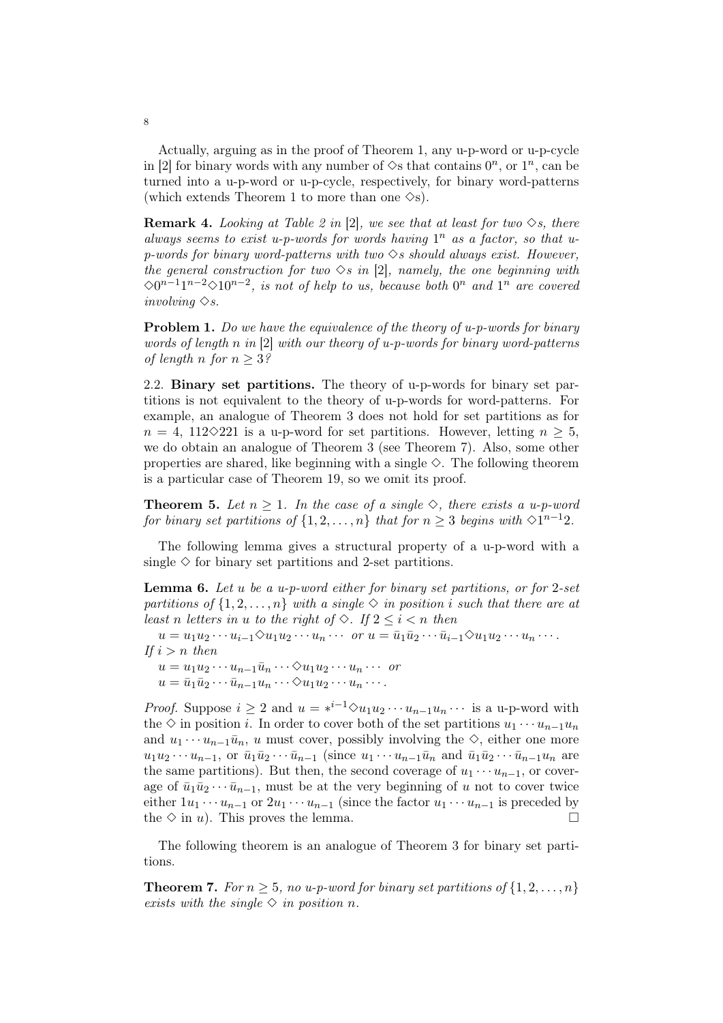Actually, arguing as in the proof of Theorem 1, any u-p-word or u-p-cycle in [2] for binary words with any number of  $\Diamond$ s that contains  $0^n$ , or  $1^n$ , can be turned into a u-p-word or u-p-cycle, respectively, for binary word-patterns (which extends Theorem 1 to more than one  $\Diamond$ s).

**Remark 4.** Looking at Table 2 in [2], we see that at least for two  $\Diamond s$ , there always seems to exist u-p-words for words having  $1^n$  as a factor, so that up-words for binary word-patterns with two  $\Diamond s$  should always exist. However, the general construction for two  $\Diamond s$  in [2], namely, the one beginning with  $\Diamond 0^{n-1}1^{n-2}\Diamond 10^{n-2}$ , is not of help to us, because both  $0^n$  and  $1^n$  are covered involving  $\diamond$ s.

**Problem 1.** Do we have the equivalence of the theory of u-p-words for binary words of length n in [2] with our theory of u-p-words for binary word-patterns of length n for  $n \geq 3$ ?

2.2. Binary set partitions. The theory of u-p-words for binary set partitions is not equivalent to the theory of u-p-words for word-patterns. For example, an analogue of Theorem 3 does not hold for set partitions as for  $n = 4$ , 112 $\Diamond$ 221 is a u-p-word for set partitions. However, letting  $n \geq 5$ , we do obtain an analogue of Theorem 3 (see Theorem 7). Also, some other properties are shared, like beginning with a single  $\Diamond$ . The following theorem is a particular case of Theorem 19, so we omit its proof.

**Theorem 5.** Let  $n \geq 1$ . In the case of a single  $\diamond$ , there exists a u-p-word for binary set partitions of  $\{1, 2, ..., n\}$  that for  $n \geq 3$  begins with  $\Diamond 1^{n-1}2$ .

The following lemma gives a structural property of a u-p-word with a single  $\diamond$  for binary set partitions and 2-set partitions.

**Lemma 6.** Let u be a u-p-word either for binary set partitions, or for  $2$ -set partitions of  $\{1, 2, \ldots, n\}$  with a single  $\diamond$  in position i such that there are at least n letters in u to the right of  $\Diamond$ . If  $2 \leq i \leq n$  then

 $u = u_1 u_2 \cdots u_{i-1} \Diamond u_1 u_2 \cdots u_n \cdots \text{ or } u = \bar{u}_1 \bar{u}_2 \cdots \bar{u}_{i-1} \Diamond u_1 u_2 \cdots u_n \cdots$ If  $i > n$  then

 $u = u_1u_2\cdots u_{n-1}\overline{u}_n\cdots\Diamond u_1u_2\cdots u_n\cdots$  or  $u = \bar{u}_1 \bar{u}_2 \cdots \bar{u}_{n-1} u_n \cdots \Diamond u_1 u_2 \cdots u_n \cdots$ 

*Proof.* Suppose  $i \geq 2$  and  $u = *^{i-1} \Diamond u_1 u_2 \cdots u_{n-1} u_n \cdots$  is a u-p-word with the  $\diamond$  in position *i*. In order to cover both of the set partitions  $u_1 \cdots u_{n-1}u_n$ and  $u_1 \cdots u_{n-1} \bar{u}_n$ , u must cover, possibly involving the  $\diamond$ , either one more  $u_1u_2\cdots u_{n-1}$ , or  $\bar{u}_1\bar{u}_2\cdots \bar{u}_{n-1}$  (since  $u_1\cdots u_{n-1}\bar{u}_n$  and  $\bar{u}_1\bar{u}_2\cdots \bar{u}_{n-1}u_n$  are the same partitions). But then, the second coverage of  $u_1 \cdots u_{n-1}$ , or coverage of  $\bar{u}_1\bar{u}_2 \cdots \bar{u}_{n-1}$ , must be at the very beginning of u not to cover twice either  $1u_1 \cdots u_{n-1}$  or  $2u_1 \cdots u_{n-1}$  (since the factor  $u_1 \cdots u_{n-1}$  is preceded by the  $\diamond$  in u). This proves the lemma.

The following theorem is an analogue of Theorem 3 for binary set partitions.

**Theorem 7.** For  $n \geq 5$ , no u-p-word for binary set partitions of  $\{1, 2, \ldots, n\}$ exists with the single  $\Diamond$  in position n.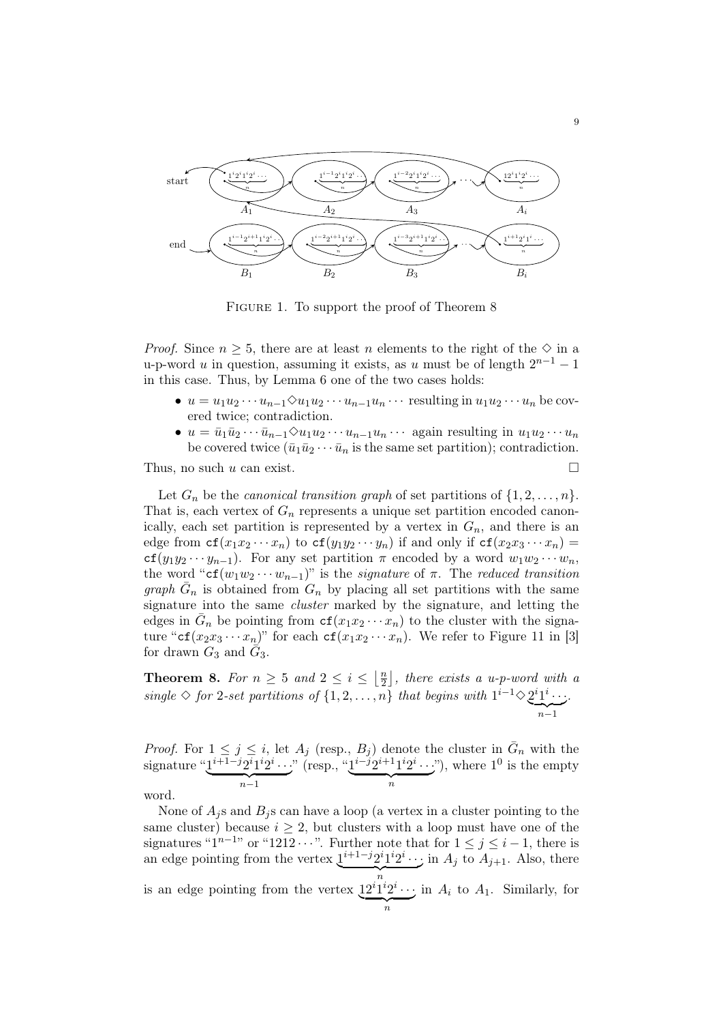

FIGURE 1. To support the proof of Theorem 8

*Proof.* Since  $n \geq 5$ , there are at least n elements to the right of the  $\diamond$  in a u-p-word u in question, assuming it exists, as u must be of length  $2^{n-1} - 1$ in this case. Thus, by Lemma 6 one of the two cases holds:

- $u = u_1 u_2 \cdots u_{n-1} \Diamond u_1 u_2 \cdots u_{n-1} u_n \cdots$  resulting in  $u_1 u_2 \cdots u_n$  be covered twice; contradiction.
- $u = \overline{u}_1 \overline{u}_2 \cdots \overline{u}_{n-1} \Diamond u_1 u_2 \cdots u_{n-1} u_n \cdots$  again resulting in  $u_1 u_2 \cdots u_n$ be covered twice  $(\bar{u}_1\bar{u}_2\cdots\bar{u}_n)$  is the same set partition); contradiction.

Thus, no such u can exist.  $\square$ 

Let  $G_n$  be the *canonical transition graph* of set partitions of  $\{1, 2, \ldots, n\}$ . That is, each vertex of  $G_n$  represents a unique set partition encoded canonically, each set partition is represented by a vertex in  $G_n$ , and there is an edge from  $cf(x_1x_2 \cdots x_n)$  to  $cf(y_1y_2 \cdots y_n)$  if and only if  $cf(x_2x_3 \cdots x_n)$  =  $cf(y_1y_2\cdots y_{n-1})$ . For any set partition  $\pi$  encoded by a word  $w_1w_2\cdots w_n$ , the word "cf( $w_1w_2 \cdots w_{n-1}$ )" is the *signature* of  $\pi$ . The *reduced transition* graph  $\bar{G}_n$  is obtained from  $G_n$  by placing all set partitions with the same signature into the same cluster marked by the signature, and letting the edges in  $\bar{G}_n$  be pointing from  $cf(x_1x_2 \cdots x_n)$  to the cluster with the signature "cf( $x_2x_3 \cdots x_n$ )" for each cf( $x_1x_2 \cdots x_n$ ). We refer to Figure 11 in [3] for drawn  $G_3$  and  $\tilde{G}_3$ .

**Theorem 8.** For  $n \geq 5$  and  $2 \leq i \leq \left\lfloor \frac{n}{2} \right\rfloor$ , there exists a u-p-word with a 2 single  $\diamond$  for 2-set partitions of  $\{1, 2, ..., n\}$  that begins with  $1^{i-1} \diamond 2^{i} 1^{i} \cdots$ .  $\sum_{n=1}$ .

*Proof.* For  $1 \leq j \leq i$ , let  $A_j$  (resp.,  $B_j$ ) denote the cluster in  $\overline{G}_n$  with the signature " $1^{i+1-j}2^i1^i2^i \cdots$ "  $\overbrace{n-1}$ " (resp., " $1^{i-j}2^{i+1}1^i2^i \cdots$ ")  $\overbrace{n}$ ", where  $1^0$  is the empty

word.

None of  $A_j$ s and  $B_j$ s can have a loop (a vertex in a cluster pointing to the same cluster) because  $i \geq 2$ , but clusters with a loop must have one of the signatures " $1^{n-1}$ " or "1212 · · ·". Further note that for  $1 \leq j \leq i-1$ , there is an edge pointing from the vertex  $\underline{1}^{i+1-j}2^i\underline{1}^{i}2^i \cdots$  in  $A_j$  to  $A_{j+1}$ . Also, there is an edge pointing from the vertex  $12^{i}1^{i}2^{i}\cdots$  is  $\overbrace{n}$ in  $A_i$  to  $A_1$ . Similarly, for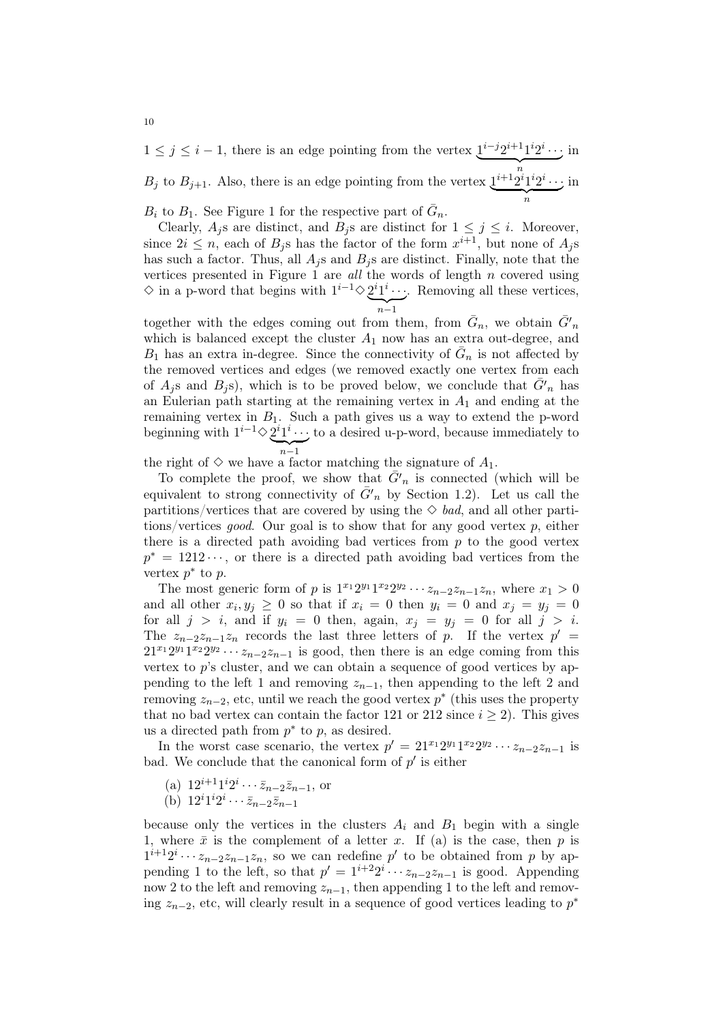$1 \leq j \leq i-1$ , there is an edge pointing from the vertex  $1^{i-j}2^{i+1}1^i2^i$  $\cdot \cdot \cdot$  $\overbrace{n}$ in  $B_j$  to  $B_{j+1}$ . Also, there is an edge pointing from the vertex  $\underline{1}^{i+1}2^i1^i2^i\cdots$  $\overbrace{n}$ in

 $B_i$  to  $B_1$ . See Figure 1 for the respective part of  $\bar{G}_n$ .

Clearly,  $A_i$ s are distinct, and  $B_i$ s are distinct for  $1 \leq j \leq i$ . Moreover, since  $2i \leq n$ , each of  $B_j$ s has the factor of the form  $x^{i+1}$ , but none of  $A_j$ s has such a factor. Thus, all  $A_i$ s and  $B_i$ s are distinct. Finally, note that the vertices presented in Figure 1 are all the words of length  $n$  covered using  $\diamond$  in a p-word that begins with  $1^{i-1} \diamond 2^{i} 1^{i} \cdots$ . Removing all these vertices,  $\sum_{n-1}$  $n-1$ 

together with the edges coming out from them, from  $\bar{G}_n$ , we obtain  $\bar{G}'_n$ which is balanced except the cluster  $A_1$  now has an extra out-degree, and  $B_1$  has an extra in-degree. Since the connectivity of  $\bar{G}_n$  is not affected by the removed vertices and edges (we removed exactly one vertex from each of  $A_j$ s and  $B_j$ s), which is to be proved below, we conclude that  $\bar{G'}_n$  has an Eulerian path starting at the remaining vertex in  $A_1$  and ending at the remaining vertex in  $B_1$ . Such a path gives us a way to extend the p-word beginning with  $1^{i-1} \diamond 2^i 1^i \cdots$ ;  $\sum_{n-1}$  $n-1$ to a desired u-p-word, because immediately to

the right of  $\diamond$  we have a factor matching the signature of  $A_1$ .

To complete the proof, we show that  $\tilde{G}'_n$  is connected (which will be equivalent to strong connectivity of  $\bar{G}'_n$  by Section 1.2). Let us call the partitions/vertices that are covered by using the  $\diamond$  bad, and all other partitions/vertices *good*. Our goal is to show that for any good vertex p, either there is a directed path avoiding bad vertices from  $p$  to the good vertex  $p^* = 1212 \cdots$ , or there is a directed path avoiding bad vertices from the vertex  $p^*$  to  $p$ .

The most generic form of p is  $1^{x_1}2^{y_1}1^{x_2}2^{y_2}\cdots z_{n-2}z_{n-1}z_n$ , where  $x_1 > 0$ and all other  $x_i, y_j \geq 0$  so that if  $x_i = 0$  then  $y_i = 0$  and  $x_j = y_j = 0$ for all  $j > i$ , and if  $y_i = 0$  then, again,  $x_j = y_j = 0$  for all  $j > i$ . The  $z_{n-2}z_{n-1}z_n$  records the last three letters of p. If the vertex  $p' =$  $21^{x_1}2^{y_1}1^{x_2}2^{y_2}\cdots z_{n-2}z_{n-1}$  is good, then there is an edge coming from this vertex to  $p$ 's cluster, and we can obtain a sequence of good vertices by appending to the left 1 and removing  $z_{n-1}$ , then appending to the left 2 and removing  $z_{n-2}$ , etc, until we reach the good vertex  $p^*$  (this uses the property that no bad vertex can contain the factor 121 or 212 since  $i \geq 2$ ). This gives us a directed path from  $p^*$  to p, as desired.

In the worst case scenario, the vertex  $p' = 21^{x_1}2^{y_1}1^{x_2}2^{y_2}\cdots z_{n-2}z_{n-1}$  is bad. We conclude that the canonical form of  $p'$  is either

- (a)  $12^{i+1}1^i2^i \cdots \bar{z}_{n-2} \bar{z}_{n-1}$ , or
- (b)  $12^i 1^i 2^i \cdots \bar{z}_{n-2} \bar{z}_{n-1}$

because only the vertices in the clusters  $A_i$  and  $B_1$  begin with a single 1, where  $\bar{x}$  is the complement of a letter x. If (a) is the case, then p is  $1^{i+1}2^i \cdots z_{n-2}z_{n-1}z_n$ , so we can redefine p' to be obtained from p by appending 1 to the left, so that  $p' = 1^{i+2}2^i \cdots z_{n-2}z_{n-1}$  is good. Appending now 2 to the left and removing  $z_{n-1}$ , then appending 1 to the left and removing  $z_{n-2}$ , etc, will clearly result in a sequence of good vertices leading to  $p^*$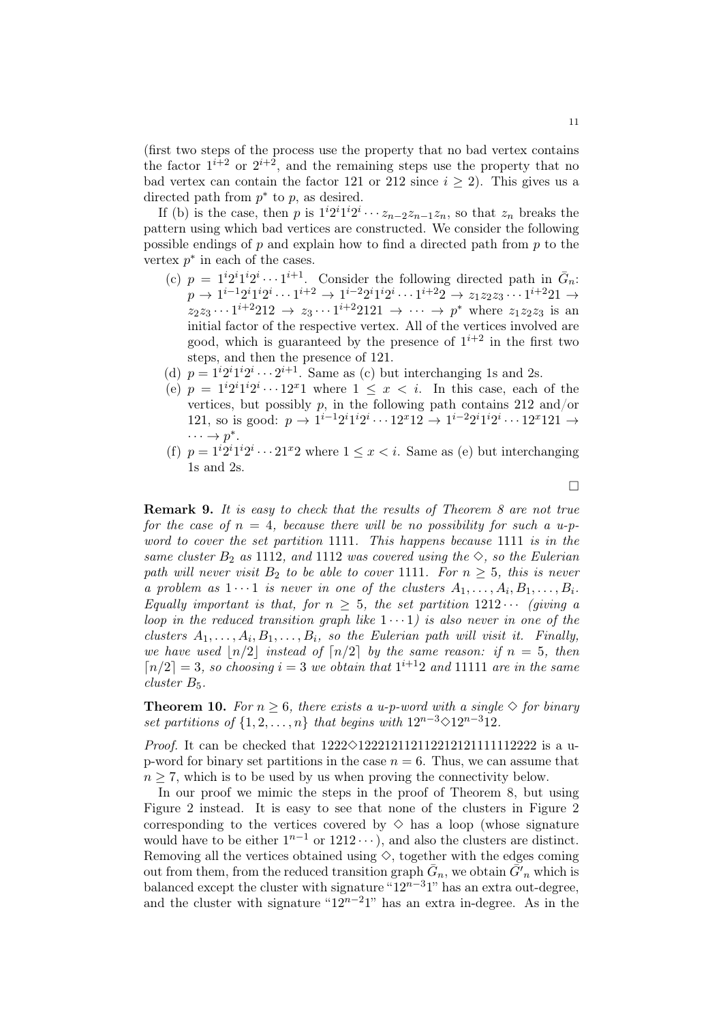(first two steps of the process use the property that no bad vertex contains the factor  $1^{i+2}$  or  $2^{i+2}$ , and the remaining steps use the property that no bad vertex can contain the factor 121 or 212 since  $i \geq 2$ ). This gives us a directed path from  $p^*$  to  $p$ , as desired.

If (b) is the case, then p is  $1^{i}2^{i}1^{i}2^{i}\cdots z_{n-2}z_{n-1}z_{n}$ , so that  $z_{n}$  breaks the pattern using which bad vertices are constructed. We consider the following possible endings of  $p$  and explain how to find a directed path from  $p$  to the vertex  $p^*$  in each of the cases.

- (c)  $p = 1^{i}2^{i}1^{i}2^{i} \cdots 1^{i+1}$ . Consider the following directed path in  $\bar{G}_n$ :  $p \rightarrow 1^{i-1}2^{i}1^{i}2^{i} \cdots 1^{i+2} \rightarrow 1^{i-2}2^{i}1^{i}2^{i} \cdots 1^{i+2}2 \rightarrow z_{1}z_{2}z_{3} \cdots 1^{i+2}21 \rightarrow$  $z_2z_3 \cdots 1^{i+2}212 \to z_3 \cdots 1^{i+2}2121 \to \cdots \to p^*$  where  $z_1z_2z_3$  is an initial factor of the respective vertex. All of the vertices involved are good, which is guaranteed by the presence of  $1^{i+2}$  in the first two steps, and then the presence of 121.
- (d)  $p = 1^{i}2^{i}1^{i}2^{i} \cdots 2^{i+1}$ . Same as (c) but interchanging 1s and 2s.
- (e)  $p = 1^{i}2^{i}1^{i}2^{i} \cdots 12^{x}1$  where  $1 \leq x \leq i$ . In this case, each of the vertices, but possibly  $p$ , in the following path contains 212 and/or 121, so is good:  $p \to 1^{i-1}2^i1^i2^i \cdots 12^x12 \to 1^{i-2}2^i1^i2^i \cdots 12^x121 \to$  $\cdots \rightarrow p^*$ .
- (f)  $p = 1^{i}2^{i}1^{i}2^{i} \cdots 21^{x}2$  where  $1 \leq x < i$ . Same as (e) but interchanging 1s and 2s.

 $\Box$ 

**Remark 9.** It is easy to check that the results of Theorem 8 are not true for the case of  $n = 4$ , because there will be no possibility for such a u-pword to cover the set partition 1111. This happens because 1111 is in the same cluster  $B_2$  as 1112, and 1112 was covered using the  $\diamond$ , so the Eulerian path will never visit  $B_2$  to be able to cover 1111. For  $n \geq 5$ , this is never a problem as  $1 \cdots 1$  is never in one of the clusters  $A_1, \ldots, A_i, B_1, \ldots, B_i$ . Equally important is that, for  $n \geq 5$ , the set partition  $1212 \cdots$  (giving a loop in the reduced transition graph like  $1 \cdot \cdot \cdot 1$  is also never in one of the clusters  $A_1, \ldots, A_i, B_1, \ldots, B_i$ , so the Eulerian path will visit it. Finally, we have used  $\lfloor n/2 \rfloor$  instead of  $\lfloor n/2 \rfloor$  by the same reason: if  $n = 5$ , then  $\lceil n/2 \rceil = 3$ , so choosing  $i = 3$  we obtain that  $1^{i+1}2$  and 11111 are in the same cluster  $B_5$ .

**Theorem 10.** For  $n \geq 6$ , there exists a u-p-word with a single  $\diamond$  for binary set partitions of  $\{1, 2, \ldots, n\}$  that begins with  $12^{n-3} \diamond 12^{n-3}12$ .

*Proof.* It can be checked that  $1222 \diamond 1222121121122121111112222$  is a up-word for binary set partitions in the case  $n = 6$ . Thus, we can assume that  $n \geq 7$ , which is to be used by us when proving the connectivity below.

In our proof we mimic the steps in the proof of Theorem 8, but using Figure 2 instead. It is easy to see that none of the clusters in Figure 2 corresponding to the vertices covered by  $\diamond$  has a loop (whose signature would have to be either  $1^{n-1}$  or  $1212 \cdots$ ), and also the clusters are distinct. Removing all the vertices obtained using  $\diamond$ , together with the edges coming out from them, from the reduced transition graph  $\bar{G}_n$ , we obtain  $\bar{G}'_n$  which is balanced except the cluster with signature " $12^{n-3}1$ " has an extra out-degree, and the cluster with signature " $12^{n-2}1$ " has an extra in-degree. As in the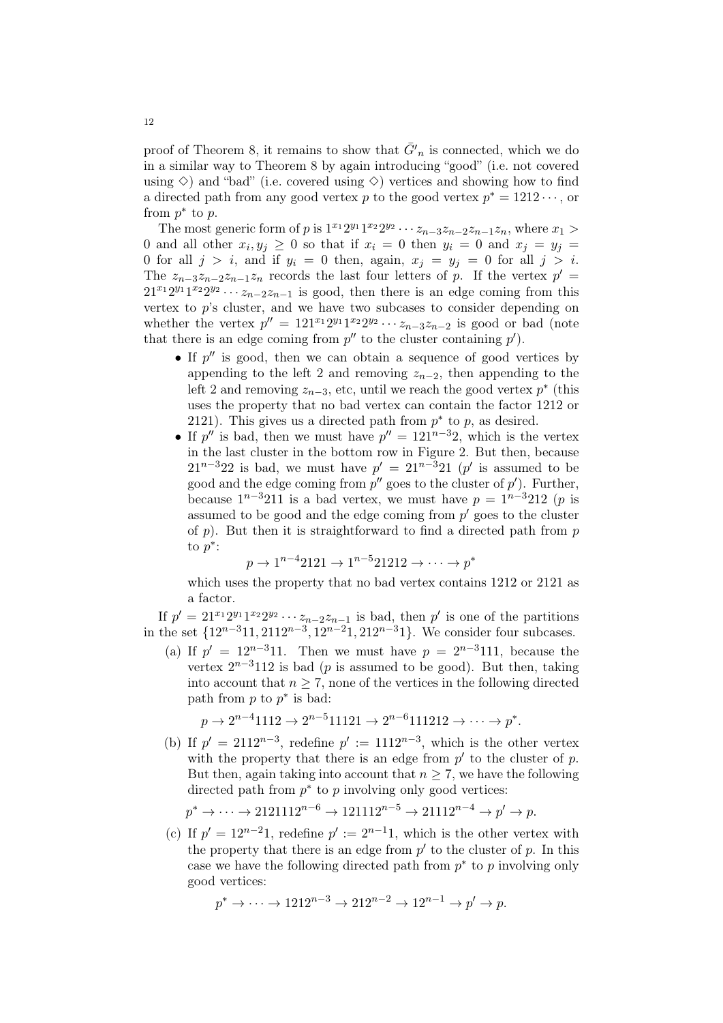proof of Theorem 8, it remains to show that  $\bar{G}'_n$  is connected, which we do in a similar way to Theorem 8 by again introducing "good" (i.e. not covered using  $\Diamond$ ) and "bad" (i.e. covered using  $\Diamond$ ) vertices and showing how to find a directed path from any good vertex p to the good vertex  $p^* = 1212 \cdots$ , or from  $p^*$  to  $p$ .

The most generic form of p is  $1^{x_1}2^{y_1}1^{x_2}2^{y_2}\cdots z_{n-3}z_{n-2}z_{n-1}z_n$ , where  $x_1 >$ 0 and all other  $x_i, y_j \ge 0$  so that if  $x_i = 0$  then  $y_i = 0$  and  $x_j = y_j = 0$ 0 for all  $j > i$ , and if  $y_i = 0$  then, again,  $x_j = y_j = 0$  for all  $j > i$ . The  $z_{n-3}z_{n-2}z_{n-1}z_n$  records the last four letters of p. If the vertex  $p' =$  $21^{x_1}2^{y_1}1^{x_2}2^{y_2}\cdots z_{n-2}z_{n-1}$  is good, then there is an edge coming from this vertex to p's cluster, and we have two subcases to consider depending on whether the vertex  $p'' = 121^{x_1}2^{y_1}1^{x_2}2^{y_2}\cdots z_{n-3}z_{n-2}$  is good or bad (note that there is an edge coming from  $p''$  to the cluster containing  $p'$ .

- If  $p''$  is good, then we can obtain a sequence of good vertices by appending to the left 2 and removing  $z_{n-2}$ , then appending to the left 2 and removing  $z_{n-3}$ , etc, until we reach the good vertex  $p^*$  (this uses the property that no bad vertex can contain the factor 1212 or 2121). This gives us a directed path from  $p^*$  to p, as desired.
- If p'' is bad, then we must have  $p'' = 121^{n-3}2$ , which is the vertex in the last cluster in the bottom row in Figure 2. But then, because  $21^{n-3}22$  is bad, we must have  $p' = 21^{n-3}21$  (p' is assumed to be good and the edge coming from  $p''$  goes to the cluster of  $p'$ ). Further, because  $1^{n-3}211$  is a bad vertex, we must have  $p = 1^{n-3}212$  (p is assumed to be good and the edge coming from  $p'$  goes to the cluster of p). But then it is straightforward to find a directed path from  $p$ to  $p^*$ :

$$
p \to 1^{n-4}2121 \to 1^{n-5}21212 \to \cdots \to p^*
$$

which uses the property that no bad vertex contains 1212 or 2121 as a factor.

If  $p' = 21^{x_1}2^{y_1}1^{x_2}2^{y_2}\cdots z_{n-2}z_{n-1}$  is bad, then  $p'$  is one of the partitions in the set  $\{12^{n-3}11, 2112^{n-3}, 12^{n-2}1, 212^{n-3}1\}$ . We consider four subcases.

(a) If  $p' = 12^{n-3}11$ . Then we must have  $p = 2^{n-3}111$ , because the vertex  $2^{n-3}112$  is bad (p is assumed to be good). But then, taking into account that  $n \geq 7$ , none of the vertices in the following directed path from  $p$  to  $p^*$  is bad:

$$
p \to 2^{n-4}1112 \to 2^{n-5}11121 \to 2^{n-6}111212 \to \cdots \to p^*.
$$

(b) If  $p' = 2112^{n-3}$ , redefine  $p' := 1112^{n-3}$ , which is the other vertex with the property that there is an edge from  $p'$  to the cluster of  $p$ . But then, again taking into account that  $n \geq 7$ , we have the following directed path from  $p^*$  to  $p$  involving only good vertices:

$$
p^* \to \cdots \to 2121112^{n-6} \to 121112^{n-5} \to 21112^{n-4} \to p' \to p.
$$

(c) If  $p' = 12^{n-2}1$ , redefine  $p' := 2^{n-1}1$ , which is the other vertex with the property that there is an edge from  $p'$  to the cluster of  $p$ . In this case we have the following directed path from  $p^*$  to p involving only good vertices:

$$
p^* \to \cdots \to 1212^{n-3} \to 212^{n-2} \to 12^{n-1} \to p' \to p.
$$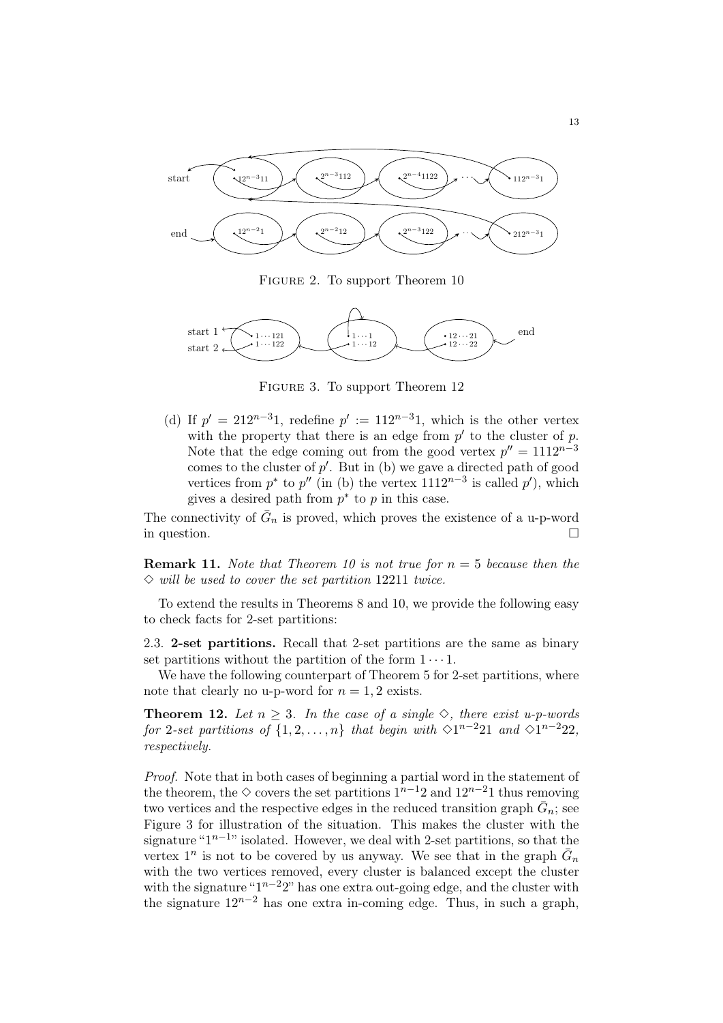

FIGURE 2. To support Theorem 10



FIGURE 3. To support Theorem 12

(d) If  $p' = 212^{n-3}1$ , redefine  $p' := 112^{n-3}1$ , which is the other vertex with the property that there is an edge from  $p'$  to the cluster of  $p$ . Note that the edge coming out from the good vertex  $p'' = 1112^{n-3}$ comes to the cluster of  $p'$ . But in (b) we gave a directed path of good vertices from  $p^*$  to  $p''$  (in (b) the vertex  $1112^{n-3}$  is called  $p'$ ), which gives a desired path from  $p^*$  to p in this case.

The connectivity of  $\bar{G}_n$  is proved, which proves the existence of a u-p-word in question.

**Remark 11.** Note that Theorem 10 is not true for  $n = 5$  because then the  $\Diamond$  will be used to cover the set partition 12211 twice.

To extend the results in Theorems 8 and 10, we provide the following easy to check facts for 2-set partitions:

2.3. 2-set partitions. Recall that 2-set partitions are the same as binary set partitions without the partition of the form  $1 \cdots 1$ .

We have the following counterpart of Theorem 5 for 2-set partitions, where note that clearly no u-p-word for  $n = 1, 2$  exists.

**Theorem 12.** Let  $n \geq 3$ . In the case of a single  $\diamond$ , there exist u-p-words for 2-set partitions of  $\{1, 2, ..., n\}$  that begin with  $\Diamond$ 1<sup>n-2</sup>21 and  $\Diamond$ 1<sup>n-2</sup>22, respectively.

Proof. Note that in both cases of beginning a partial word in the statement of the theorem, the  $\diamond$  covers the set partitions  $1^{n-1}2$  and  $12^{n-2}1$  thus removing two vertices and the respective edges in the reduced transition graph  $\bar{G}_n$ ; see Figure 3 for illustration of the situation. This makes the cluster with the signature " $1^{n-1}$ " isolated. However, we deal with 2-set partitions, so that the vertex  $1^n$  is not to be covered by us anyway. We see that in the graph  $\bar{G}_n$ with the two vertices removed, every cluster is balanced except the cluster with the signature " $1^{n-2}2$ " has one extra out-going edge, and the cluster with the signature  $12^{n-2}$  has one extra in-coming edge. Thus, in such a graph,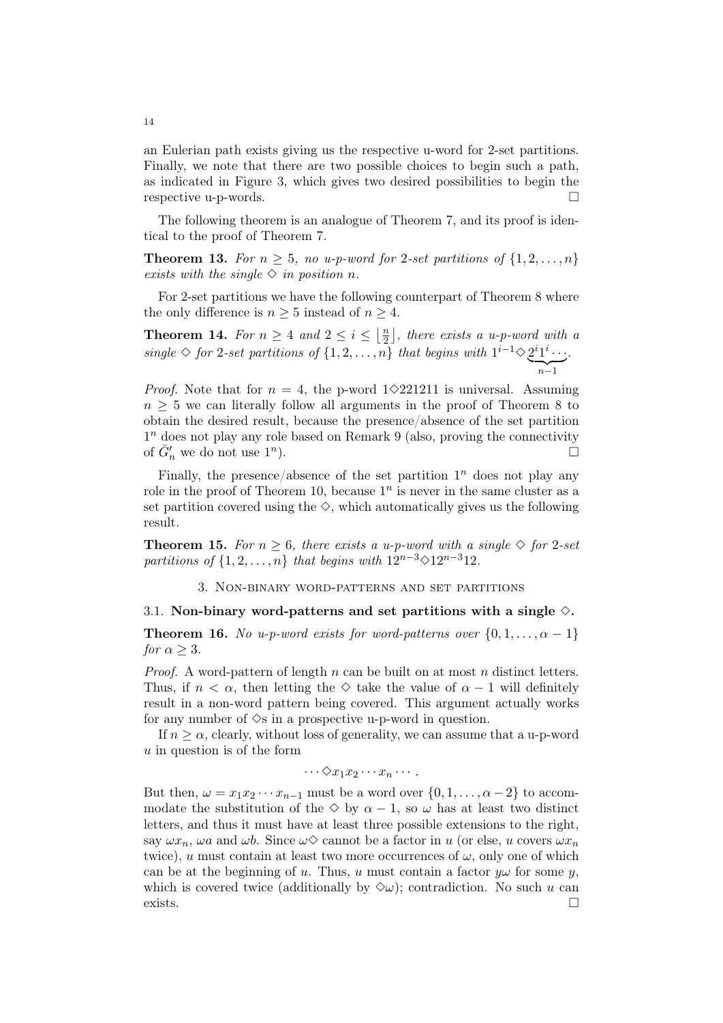an Eulerian path exists giving us the respective u-word for 2-set partitions. Finally, we note that there are two possible choices to begin such a path, as indicated in Figure 3, which gives two desired possibilities to begin the respective u-p-words.

The following theorem is an analogue of Theorem 7, and its proof is identical to the proof of Theorem 7.

**Theorem 13.** For  $n \geq 5$ , no u-p-word for 2-set partitions of  $\{1, 2, ..., n\}$ exists with the single  $\Diamond$  in position n.

For 2-set partitions we have the following counterpart of Theorem 8 where the only difference is  $n \geq 5$  instead of  $n \geq 4$ .

**Theorem 14.** For  $n \geq 4$  and  $2 \leq i \leq \left\lfloor \frac{n}{2} \right\rfloor$ , there exists a u-p-word with a 2 single  $\diamond$  for 2-set partitions of  $\{1, 2, ..., n\}$  that begins with  $1^{i-1} \diamond 2^{i} 1^{i} \cdots$ .  $\sum_{n=1}$ .

*Proof.* Note that for  $n = 4$ , the p-word 1◇221211 is universal. Assuming  $n > 5$  we can literally follow all arguments in the proof of Theorem 8 to obtain the desired result, because the presence/absence of the set partition  $1<sup>n</sup>$  does not play any role based on Remark 9 (also, proving the connectivity of  $\bar{G}'_n$  we do not use  $1^n$ ).  $\qquad \qquad \square$ 

Finally, the presence/absence of the set partition  $1<sup>n</sup>$  does not play any role in the proof of Theorem 10, because  $1<sup>n</sup>$  is never in the same cluster as a set partition covered using the  $\diamond$ , which automatically gives us the following result.

**Theorem 15.** For  $n \geq 6$ , there exists a u-p-word with a single  $\diamond$  for 2-set partitions of  $\{1, 2, \ldots, n\}$  that begins with  $12^{n-3} \diamond 12^{n-3}12$ .

3. Non-binary word-patterns and set partitions

#### 3.1. Non-binary word-patterns and set partitions with a single  $\diamond$ .

**Theorem 16.** No u-p-word exists for word-patterns over  $\{0, 1, \ldots, \alpha - 1\}$ for  $\alpha > 3$ .

*Proof.* A word-pattern of length n can be built on at most n distinct letters. Thus, if  $n < \alpha$ , then letting the  $\diamond$  take the value of  $\alpha - 1$  will definitely result in a non-word pattern being covered. This argument actually works for any number of  $\Diamond$ s in a prospective u-p-word in question.

If  $n \geq \alpha$ , clearly, without loss of generality, we can assume that a u-p-word  $u$  in question is of the form

 $\cdots \Diamond x_1x_2\cdots x_n\cdots$ .

But then,  $\omega = x_1 x_2 \cdots x_{n-1}$  must be a word over  $\{0, 1, \ldots, \alpha - 2\}$  to accommodate the substitution of the  $\diamond$  by  $\alpha - 1$ , so  $\omega$  has at least two distinct letters, and thus it must have at least three possible extensions to the right, say  $\omega x_n$ ,  $\omega a$  and  $\omega b$ . Since  $\omega \Diamond$  cannot be a factor in u (or else, u covers  $\omega x_n$ twice), u must contain at least two more occurrences of  $\omega$ , only one of which can be at the beginning of u. Thus, u must contain a factor  $y\omega$  for some y, which is covered twice (additionally by  $\Diamond \omega$ ); contradiction. No such u can exists.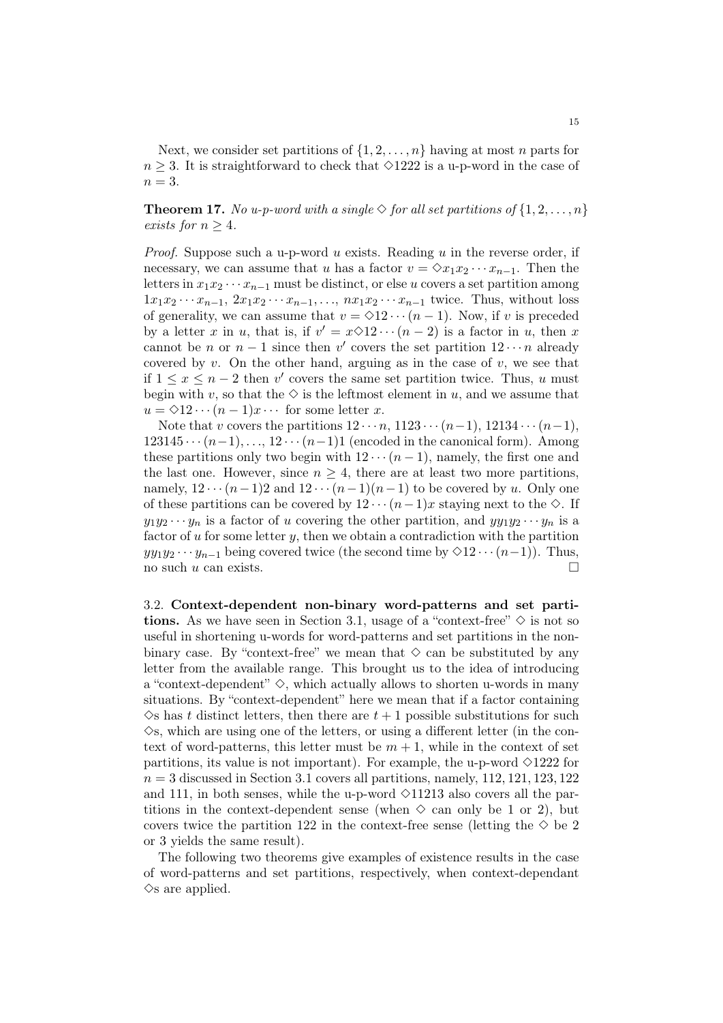Next, we consider set partitions of  $\{1, 2, \ldots, n\}$  having at most n parts for  $n \geq 3$ . It is straightforward to check that  $\Diamond 1222$  is a u-p-word in the case of  $n = 3$ .

**Theorem 17.** No u-p-word with a single  $\Diamond$  for all set partitions of  $\{1, 2, ..., n\}$ exists for  $n > 4$ .

*Proof.* Suppose such a u-p-word u exists. Reading u in the reverse order, if necessary, we can assume that u has a factor  $v = \Diamond x_1 x_2 \cdots x_{n-1}$ . Then the letters in  $x_1x_2 \cdots x_{n-1}$  must be distinct, or else u covers a set partition among  $1x_1x_2 \cdots x_{n-1}, 2x_1x_2 \cdots x_{n-1}, \ldots, nx_1x_2 \cdots x_{n-1}$  twice. Thus, without loss of generality, we can assume that  $v = \Diamond 12 \cdots (n-1)$ . Now, if v is preceded by a letter x in u, that is, if  $v' = x \diamond 12 \cdots (n-2)$  is a factor in u, then x cannot be *n* or  $n-1$  since then v' covers the set partition  $12 \cdots n$  already covered by v. On the other hand, arguing as in the case of v, we see that if  $1 \le x \le n-2$  then v' covers the same set partition twice. Thus, u must begin with v, so that the  $\diamondsuit$  is the leftmost element in u, and we assume that  $u = \Diamond 12 \cdots (n-1)x \cdots$  for some letter x.

Note that v covers the partitions  $12 \cdots n$ ,  $1123 \cdots (n-1)$ ,  $12134 \cdots (n-1)$ ,  $123145 \cdots (n-1), \ldots, 12 \cdots (n-1)1$  (encoded in the canonical form). Among these partitions only two begin with  $12 \cdots (n-1)$ , namely, the first one and the last one. However, since  $n \geq 4$ , there are at least two more partitions. namely,  $12 \cdots (n-1)2$  and  $12 \cdots (n-1)(n-1)$  to be covered by u. Only one of these partitions can be covered by  $12 \cdots (n-1)x$  staying next to the  $\diamond$ . If  $y_1y_2 \cdots y_n$  is a factor of u covering the other partition, and  $yy_1y_2 \cdots y_n$  is a factor of  $u$  for some letter  $y$ , then we obtain a contradiction with the partition  $y_1y_1y_2 \cdots y_{n-1}$  being covered twice (the second time by  $\Diamond 12 \cdots (n-1)$ ). Thus, no such  $u$  can exists.  $\Box$ 

3.2. Context-dependent non-binary word-patterns and set partitions. As we have seen in Section 3.1, usage of a "context-free"  $\diamond$  is not so useful in shortening u-words for word-patterns and set partitions in the nonbinary case. By "context-free" we mean that  $\diamond$  can be substituted by any letter from the available range. This brought us to the idea of introducing a "context-dependent"  $\Diamond$ , which actually allows to shorten u-words in many situations. By "context-dependent" here we mean that if a factor containing  $\Diamond$ s has t distinct letters, then there are  $t + 1$  possible substitutions for such  $\Diamond$ s, which are using one of the letters, or using a different letter (in the context of word-patterns, this letter must be  $m + 1$ , while in the context of set partitions, its value is not important). For example, the u-p-word  $\Diamond$ 1222 for  $n = 3$  discussed in Section 3.1 covers all partitions, namely, 112, 121, 123, 122 and 111, in both senses, while the u-p-word  $\Diamond$ 11213 also covers all the partitions in the context-dependent sense (when  $\diamond$  can only be 1 or 2), but covers twice the partition 122 in the context-free sense (letting the  $\Diamond$  be 2 or 3 yields the same result).

The following two theorems give examples of existence results in the case of word-patterns and set partitions, respectively, when context-dependant  $\Diamond$ s are applied.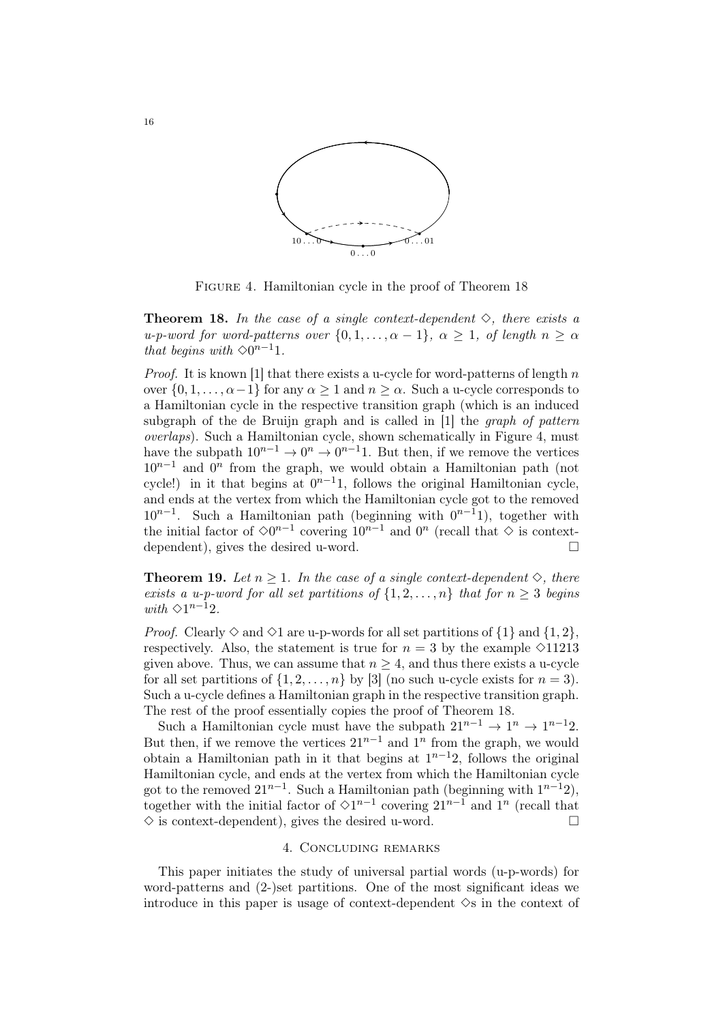

FIGURE 4. Hamiltonian cycle in the proof of Theorem 18

**Theorem 18.** In the case of a single context-dependent  $\diamond$ , there exists a u-p-word for word-patterns over  $\{0, 1, \ldots, \alpha - 1\}$ ,  $\alpha \geq 1$ , of length  $n \geq \alpha$ that begins with  $\Diamond 0^{n-1}1$ .

*Proof.* It is known [1] that there exists a u-cycle for word-patterns of length  $n$ over  $\{0, 1, \ldots, \alpha-1\}$  for any  $\alpha \geq 1$  and  $n \geq \alpha$ . Such a u-cycle corresponds to a Hamiltonian cycle in the respective transition graph (which is an induced subgraph of the de Bruijn graph and is called in [1] the *graph of pattern* overlaps). Such a Hamiltonian cycle, shown schematically in Figure 4, must have the subpath  $10^{n-1} \to 0^n \to 0^{n-1}1$ . But then, if we remove the vertices  $10^{n-1}$  and  $0^n$  from the graph, we would obtain a Hamiltonian path (not cycle!) in it that begins at  $0^{n-1}1$ , follows the original Hamiltonian cycle, and ends at the vertex from which the Hamiltonian cycle got to the removed  $10^{n-1}$ . Such a Hamiltonian path (beginning with  $0^{n-1}$ ), together with the initial factor of  $\Diamond 0^{n-1}$  covering  $10^{n-1}$  and  $0^n$  (recall that  $\Diamond$  is contextdependent), gives the desired u-word.

**Theorem 19.** Let  $n \geq 1$ . In the case of a single context-dependent  $\diamond$ , there exists a u-p-word for all set partitions of  $\{1, 2, ..., n\}$  that for  $n \geq 3$  begins with  $\Diamond 1^{n-1}2$ .

*Proof.* Clearly  $\Diamond$  and  $\Diamond$ 1 are u-p-words for all set partitions of  $\{1\}$  and  $\{1, 2\}$ , respectively. Also, the statement is true for  $n = 3$  by the example  $\Diamond 11213$ given above. Thus, we can assume that  $n \geq 4$ , and thus there exists a u-cycle for all set partitions of  $\{1, 2, \ldots, n\}$  by [3] (no such u-cycle exists for  $n = 3$ ). Such a u-cycle defines a Hamiltonian graph in the respective transition graph. The rest of the proof essentially copies the proof of Theorem 18.

Such a Hamiltonian cycle must have the subpath  $21^{n-1} \rightarrow 1^n \rightarrow 1^{n-1}2$ . But then, if we remove the vertices  $21^{n-1}$  and  $1^n$  from the graph, we would obtain a Hamiltonian path in it that begins at  $1^{n-1}2$ , follows the original Hamiltonian cycle, and ends at the vertex from which the Hamiltonian cycle got to the removed  $21^{n-1}$ . Such a Hamiltonian path (beginning with  $1^{n-1}2$ ), together with the initial factor of  $\Diamond 1^{n-1}$  covering  $21^{n-1}$  and  $1^n$  (recall that  $\diamond$  is context-dependent), gives the desired u-word.

#### 4. Concluding remarks

This paper initiates the study of universal partial words (u-p-words) for word-patterns and (2-)set partitions. One of the most significant ideas we introduce in this paper is usage of context-dependent  $\Diamond$ s in the context of